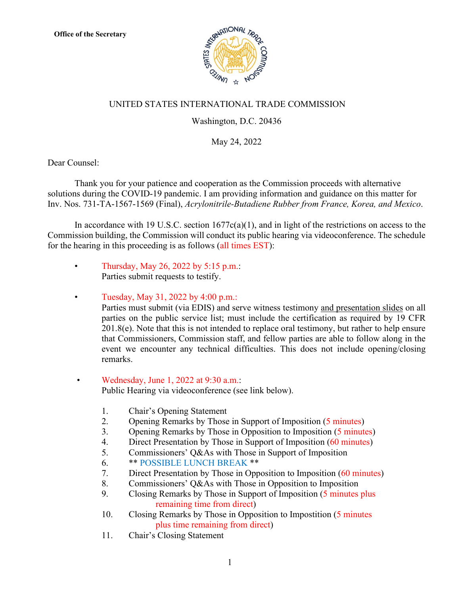

## UNITED STATES INTERNATIONAL TRADE COMMISSION

## Washington, D.C. 20436

May 24, 2022

Dear Counsel:

Thank you for your patience and cooperation as the Commission proceeds with alternative solutions during the COVID-19 pandemic. I am providing information and guidance on this matter for Inv. Nos. 731-TA-1567-1569 (Final), *Acrylonitrile-Butadiene Rubber from France, Korea, and Mexico*.

In accordance with 19 U.S.C. section  $1677c(a)(1)$ , and in light of the restrictions on access to the Commission building, the Commission will conduct its public hearing via videoconference. The schedule for the hearing in this proceeding is as follows (all times EST):

- Thursday, May 26, 2022 by 5:15 p.m.: Parties submit requests to testify.
- Tuesday, May 31, 2022 by 4:00 p.m.:

Parties must submit (via EDIS) and serve witness testimony and presentation slides on all parties on the public service list; must include the certification as required by 19 CFR 201.8(e). Note that this is not intended to replace oral testimony, but rather to help ensure that Commissioners, Commission staff, and fellow parties are able to follow along in the event we encounter any technical difficulties. This does not include opening/closing remarks.

- Wednesday, June 1, 2022 at 9:30 a.m.: Public Hearing via videoconference (see link below).
	- 1. Chair's Opening Statement
	- 2. Opening Remarks by Those in Support of Imposition (5 minutes)
	- 3. Opening Remarks by Those in Opposition to Imposition (5 minutes)
	- 4. Direct Presentation by Those in Support of Imposition (60 minutes)
	- 5. Commissioners' Q&As with Those in Support of Imposition
	- 6. \*\* POSSIBLE LUNCH BREAK \*\*
	- 7. Direct Presentation by Those in Opposition to Imposition (60 minutes)
	- 8. Commissioners' Q&As with Those in Opposition to Imposition
	- 9. Closing Remarks by Those in Support of Imposition (5 minutes plus remaining time from direct)
	- 10. Closing Remarks by Those in Opposition to Impostition (5 minutes plus time remaining from direct)
	- 11. Chair's Closing Statement